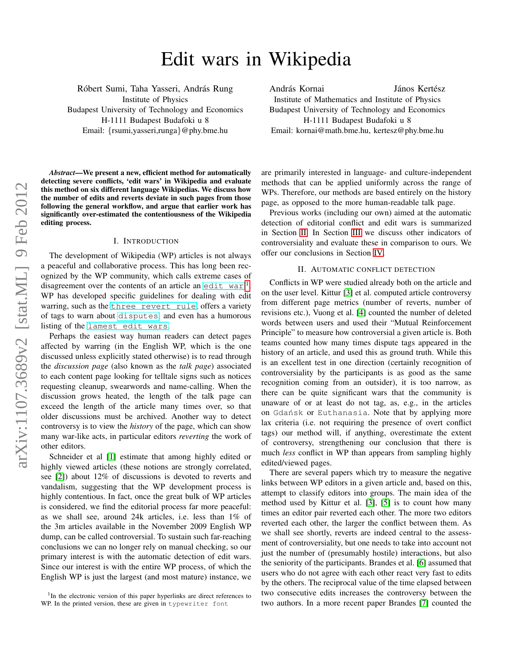# Edit wars in Wikipedia

Róbert Sumi, Taha Yasseri, András Rung Institute of Physics Budapest University of Technology and Economics H-1111 Budapest Budafoki u 8 Email: {rsumi,yasseri,runga}@phy.bme.hu

*Abstract*—We present a new, efficient method for automatically detecting severe conflicts, 'edit wars' in Wikipedia and evaluate this method on six different language Wikipedias. We discuss how the number of edits and reverts deviate in such pages from those following the general workflow, and argue that earlier work has significantly over-estimated the contentiousness of the Wikipedia editing process.

#### I. INTRODUCTION

The development of Wikipedia (WP) articles is not always a peaceful and collaborative process. This has long been recognized by the WP community, which calls extreme cases of disagreement over the contents of an article an [edit war](http://en.wikipedia.org/wiki/Edit_war),<sup>[1](#page-0-0)</sup>. WP has developed specific guidelines for dealing with edit warring, such as the [three revert rule](http://en.wikipedia.org/wiki/Wikipedia:Edit_warring#The_three-revert_rule), offers a variety of tags to warn about [disputes](http://en.wikipedia.org/wiki/Wikipedia:Template_messages#Disputes_and_warnings), and even has a humorous listing of the [lamest edit wars](http://en.wikipedia.org/wiki/Wikipedia:Lamest_edit_wars/Ethnic_feuds).

Perhaps the easiest way human readers can detect pages affected by warring (in the English WP, which is the one discussed unless explicitly stated otherwise) is to read through the *discussion page* (also known as the *talk page*) associated to each content page looking for telltale signs such as notices requesting cleanup, swearwords and name-calling. When the discussion grows heated, the length of the talk page can exceed the length of the article many times over, so that older discussions must be archived. Another way to detect controversy is to view the *history* of the page, which can show many war-like acts, in particular editors *reverting* the work of other editors.

Schneider et al [\[1\]](#page-3-0) estimate that among highly edited or highly viewed articles (these notions are strongly correlated, see [\[2\]](#page-3-1)) about 12% of discussions is devoted to reverts and vandalism, suggesting that the WP development process is highly contentious. In fact, once the great bulk of WP articles is considered, we find the editorial process far more peaceful: as we shall see, around 24k articles, i.e. less than 1% of the 3m articles available in the November 2009 English WP dump, can be called controversial. To sustain such far-reaching conclusions we can no longer rely on manual checking, so our primary interest is with the automatic detection of edit wars. Since our interest is with the entire WP process, of which the English WP is just the largest (and most mature) instance, we András Kornai **János Kertész** Institute of Mathematics and Institute of Physics Budapest University of Technology and Economics H-1111 Budapest Budafoki u 8 Email: kornai@math.bme.hu, kertesz@phy.bme.hu

are primarily interested in language- and culture-independent methods that can be applied uniformly across the range of WPs. Therefore, our methods are based entirely on the history page, as opposed to the more human-readable talk page.

Previous works (including our own) aimed at the automatic detection of editorial conflict and edit wars is summarized in Section [II.](#page-0-1) In Section [III](#page-2-0) we discuss other indicators of controversiality and evaluate these in comparison to ours. We offer our conclusions in Section [IV.](#page-3-2)

#### II. AUTOMATIC CONFLICT DETECTION

<span id="page-0-1"></span>Conflicts in WP were studied already both on the article and on the user level. Kittur [\[3\]](#page-3-3) et al. computed article controversy from different page metrics (number of reverts, number of revisions etc.), Vuong et al. [\[4\]](#page-3-4) counted the number of deleted words between users and used their "Mutual Reinforcement Principle" to measure how controversial a given article is. Both teams counted how many times dispute tags appeared in the history of an article, and used this as ground truth. While this is an excellent test in one direction (certainly recognition of controversiality by the participants is as good as the same recognition coming from an outsider), it is too narrow, as there can be quite significant wars that the community is unaware of or at least do not tag, as, e.g., in the articles on Gdańsk or Euthanasia. Note that by applying more lax criteria (i.e. not requiring the presence of overt conflict tags) our method will, if anything, overestimate the extent of controversy, strengthening our conclusion that there is much *less* conflict in WP than appears from sampling highly edited/viewed pages.

There are several papers which try to measure the negative links between WP editors in a given article and, based on this, attempt to classify editors into groups. The main idea of the method used by Kittur et al. [\[3\]](#page-3-3), [\[5\]](#page-3-5) is to count how many times an editor pair reverted each other. The more two editors reverted each other, the larger the conflict between them. As we shall see shortly, reverts are indeed central to the assessment of controversiality, but one needs to take into account not just the number of (presumably hostile) interactions, but also the seniority of the participants. Brandes et al. [\[6\]](#page-3-6) assumed that users who do not agree with each other react very fast to edits by the others. The reciprocal value of the time elapsed between two consecutive edits increases the controversy between the two authors. In a more recent paper Brandes [\[7\]](#page-3-7) counted the

<span id="page-0-0"></span><sup>&</sup>lt;sup>1</sup>In the electronic version of this paper hyperlinks are direct references to WP. In the printed version, these are given in typewriter font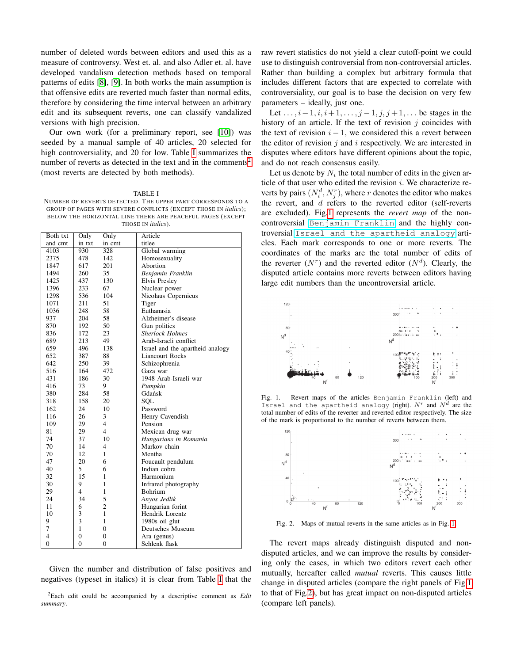number of deleted words between editors and used this as a measure of controversy. West et. al. and also Adler et. al. have developed vandalism detection methods based on temporal patterns of edits [\[8\]](#page-3-8), [\[9\]](#page-3-9). In both works the main assumption is that offensive edits are reverted much faster than normal edits, therefore by considering the time interval between an arbitrary edit and its subsequent reverts, one can classify vandalized versions with high precision.

Our own work (for a preliminary report, see [\[10\]](#page-3-10)) was seeded by a manual sample of 40 articles, 20 selected for high controversiality, and 20 for low. Table [I](#page-1-0) summarizes the number of reverts as detected in the text and in the comments<sup>[2](#page-1-1)</sup> (most reverts are detected by both methods).

<span id="page-1-0"></span>TABLE I NUMBER OF REVERTS DETECTED. THE UPPER PART CORRESPONDS TO A GROUP OF PAGES WITH SEVERE CONFLICTS (EXCEPT THOSE IN *italics*); BELOW THE HORIZONTAL LINE THERE ARE PEACEFUL PAGES (EXCEPT THOSE IN *italics*).

| Both txt          | Only            | Only           | Article                          |
|-------------------|-----------------|----------------|----------------------------------|
| and cmt           | in txt          | in cmt         | titlee                           |
| $41\overline{03}$ | 930             | 328            | Global warming                   |
| 2375              | 478             | 142            | Homosexuality                    |
| 1847              | 617             | 201            | Abortion                         |
| 1494              | 260             | 35             | Benjamin Franklin                |
| 1425              | 437             | 130            | <b>Elvis Presley</b>             |
| 1396              | 233             | 67             | Nuclear power                    |
| 1298              | 536             | 104            | Nicolaus Copernicus              |
| 1071              | 211             | 51             | Tiger                            |
| 1036              | 248             | 58             | Euthanasia                       |
| 937               | 204             | 58             | Alzheimer's disease              |
| 870               | 192             | 50             | Gun politics                     |
| 836               | 172             | 23             | <b>Sherlock Holmes</b>           |
| 689               | 213             | 49             | Arab-Israeli conflict            |
| 659               | 496             | 138            | Israel and the apartheid analogy |
| 652               | 387             | 88             | Liancourt Rocks                  |
| 642               | 250             | 39             | Schizophrenia                    |
| 516               | 164             | 472            | Gaza war                         |
| 431               | 186             | 30             | 1948 Arab-Israeli war            |
| 416               | 73              | 9              | Pumpkin                          |
| 380               | 284             | 58             | Gdańsk                           |
| 318               | 158             | 20             | SOL                              |
| 162               | $\overline{24}$ | 10             | Password                         |
| 116               | 26              | 3              | Henry Cavendish                  |
| 109               | 29              | $\overline{4}$ | Pension                          |
| 81                | 29              | $\overline{4}$ | Mexican drug war                 |
| 74                | 37              | 10             | Hungarians in Romania            |
| 70                | 14              | 4              | Markov chain                     |
| 70                | 12              | $\mathbf{1}$   | Mentha                           |
| 47                | 20              | 6              | Foucault pendulum                |
| 40                | 5               | 6              | Indian cobra                     |
| 32                | 15              | $\mathbf{1}$   | Harmonium                        |
| 30                | 9               | 1              | Infrared photography             |
| 29                | 4               | 1              | <b>Bohrium</b>                   |
| 24                | 34              | 5              | Anyos Jedlik                     |
| 11                | 6               | $\overline{c}$ | Hungarian forint                 |
| 10                | 3               | $\mathbf{1}$   | Hendrik Lorentz                  |
| 9                 | 3               | $\mathbf{1}$   | 1980s oil glut                   |
| 7                 | $\mathbf{1}$    | $\theta$       | Deutsches Museum                 |
| $\overline{4}$    | $\overline{0}$  | $\mathbf{0}$   | Ara (genus)                      |
| $\mathbf{0}$      | $\overline{0}$  | $\mathbf{0}$   | Schlenk flask                    |

Given the number and distribution of false positives and negatives (typeset in italics) it is clear from Table [I](#page-1-0) that the

<span id="page-1-1"></span><sup>2</sup>Each edit could be accompanied by a descriptive comment as *Edit summary*.

raw revert statistics do not yield a clear cutoff-point we could use to distinguish controversial from non-controversial articles. Rather than building a complex but arbitrary formula that includes different factors that are expected to correlate with controversiality, our goal is to base the decision on very few parameters – ideally, just one.

Let  $\dots, i-1, i, i+1, \dots, j-1, j, j+1, \dots$  be stages in the history of an article. If the text of revision  $j$  coincides with the text of revision  $i - 1$ , we considered this a revert between the editor of revision  $j$  and  $i$  respectively. We are interested in disputes where editors have different opinions about the topic, and do not reach consensus easily.

Let us denote by  $N_i$  the total number of edits in the given article of that user who edited the revision  $i$ . We characterize reverts by pairs  $(N_i^d, N_j^r)$ , where r denotes the editor who makes the revert, and d refers to the reverted editor (self-reverts are excluded). Fig[.1](#page-1-2) represents the *revert map* of the noncontroversial [Benjamin Franklin](http://en.wikipedia.org/wiki/Benjamin_Franklin) and the highly controversial [Israel and the apartheid analogy](http://en.wikipedia.org/wiki/Israel_and_the_apartheid_analogy) articles. Each mark corresponds to one or more reverts. The coordinates of the marks are the total number of edits of the reverter  $(N<sup>r</sup>)$  and the reverted editor  $(N<sup>d</sup>)$ . Clearly, the disputed article contains more reverts between editors having large edit numbers than the uncontroversial article.



<span id="page-1-2"></span>Fig. 1. Revert maps of the articles Benjamin Franklin (left) and Israel and the apartheid analogy (right).  $N^r$  and  $N^d$  are the total number of edits of the reverter and reverted editor respectively. The size of the mark is proportional to the number of reverts between them.



<span id="page-1-3"></span>Fig. 2. Maps of mutual reverts in the same articles as in Fig. [1.](#page-1-2)

The revert maps already distinguish disputed and nondisputed articles, and we can improve the results by considering only the cases, in which two editors revert each other mutually, hereafter called *mutual* reverts. This causes little change in disputed articles (compare the right panels of Fig[.1](#page-1-2) to that of Fig[.2\)](#page-1-3), but has great impact on non-disputed articles (compare left panels).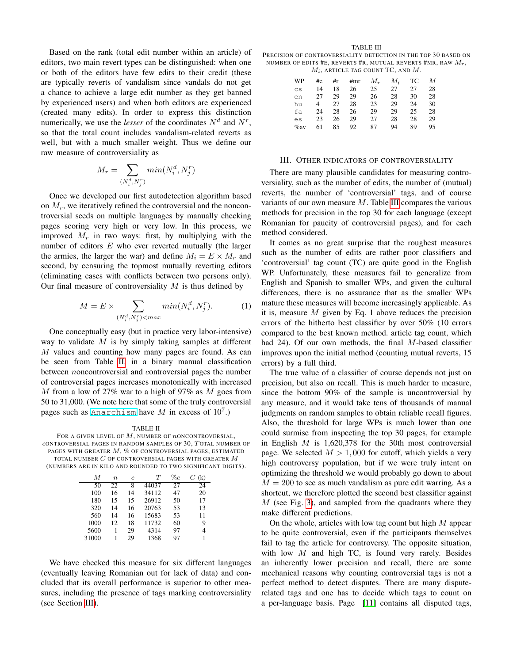Based on the rank (total edit number within an article) of editors, two main revert types can be distinguished: when one or both of the editors have few edits to their credit (these are typically reverts of vandalism since vandals do not get a chance to achieve a large edit number as they get banned by experienced users) and when both editors are experienced (created many edits). In order to express this distinction numerically, we use the *lesser* of the coordinates  $N<sup>d</sup>$  and  $N<sup>r</sup>$ , so that the total count includes vandalism-related reverts as well, but with a much smaller weight. Thus we define our raw measure of controversiality as

$$
M_r = \sum_{(N_i^d, N_j^r)} min(N_i^d, N_j^r)
$$

Once we developed our first autodetection algorithm based on  $M_r$ , we iteratively refined the controversial and the noncontroversial seeds on multiple languages by manually checking pages scoring very high or very low. In this process, we improved  $M_r$  in two ways: first, by multiplying with the number of editors  $E$  who ever reverted mutually (the larger the armies, the larger the war) and define  $M_i = E \times M_r$  and second, by censuring the topmost mutually reverting editors (eliminating cases with conflicts between two persons only). Our final measure of controversiality  $M$  is thus defined by

$$
M = E \times \sum_{(N_i^d, N_j^r) < max} \min(N_i^d, N_j^r). \tag{1}
$$

One conceptually easy (but in practice very labor-intensive) way to validate  $M$  is by simply taking samples at different M values and counting how many pages are found. As can be seen from Table [II,](#page-2-1) in a binary manual classification between noncontroversial and controversial pages the number of controversial pages increases monotonically with increased M from a low of 27% war to a high of 97% as M goes from 50 to 31,000. (We note here that some of the truly controversial pages such as [Anarchism](http://en.wikipedia.org/wiki/Anarchism) have  $M$  in excess of  $10^7$ .)

<span id="page-2-1"></span>TABLE II FOR A GIVEN LEVEL OF  $M$ , NUMBER OF  $n$ ONCONTROVERSIAL,  $c$ ONTROVERSIAL PAGES IN RANDOM SAMPLES OF  $30$ ,  $T$ OTAL NUMBER OF PAGES WITH GREATER  $M$ , % OF CONTROVERSIAL PAGES, ESTIMATED TOTAL NUMBER  $C$  OF CONTROVERSIAL PAGES WITH GREATER  $M$ (NUMBERS ARE IN KILO AND ROUNDED TO TWO SIGNIFICANT DIGITS).

| М     | $\boldsymbol{n}$ | $\epsilon$ | T     | $\%c$ | (k) |
|-------|------------------|------------|-------|-------|-----|
| 50    | 22               | 8          | 44037 | 27    | 24  |
| 100   | 16               | 14         | 34112 | 47    | 20  |
| 180   | 15               | 15         | 26912 | 50    | 17  |
| 320   | 14               | 16         | 20763 | 53    | 13  |
| 560   | 14               | 16         | 15683 | 53    | 11  |
| 1000  | 12               | 18         | 11732 | 60    | 9   |
| 5600  | 1                | 29         | 4314  | 97    | 4   |
| 31000 |                  | 29         | 1368  | 97    |     |

We have checked this measure for six different languages (eventually leaving Romanian out for lack of data) and concluded that its overall performance is superior to other measures, including the presence of tags marking controversiality (see Section [III\)](#page-2-0).

<span id="page-2-2"></span>TABLE III PRECISION OF CONTROVERSIALITY DETECTION IN THE TOP 30 BASED ON NUMBER OF EDITS #E, REVERTS #R, MUTUAL REVERTS #MR, RAW  $M_{\odot}$ ,  $M_i$ , article tag count TC, and M.

| WP      | #e | #r | #mr | $M_r$ | M. | TC | М  |
|---------|----|----|-----|-------|----|----|----|
| CS      | 14 | 18 | 26  | 25    | 27 | 27 | 28 |
| en      | 27 | 29 | 29  | 26    | 28 | 30 | 28 |
| hu      | 4  | 27 | 28  | 23    | 29 | 24 | 30 |
| fa      | 24 | 28 | 26  | 29    | 29 | 25 | 28 |
| es      | 23 | 26 | 29  | 27    | 28 | 28 | 29 |
| $\%$ av | 61 | 85 | 92  | 87    | 94 | 89 | 95 |

# III. OTHER INDICATORS OF CONTROVERSIALITY

<span id="page-2-0"></span>There are many plausible candidates for measuring controversiality, such as the number of edits, the number of (mutual) reverts, the number of 'controversial' tags, and of course variants of our own measure  $M$ . Table [III](#page-2-2) compares the various methods for precision in the top 30 for each language (except Romanian for paucity of controversial pages), and for each method considered.

It comes as no great surprise that the roughest measures such as the number of edits are rather poor classifiers and 'controversial' tag count (TC) are quite good in the English WP. Unfortunately, these measures fail to generalize from English and Spanish to smaller WPs, and given the cultural differences, there is no assurance that as the smaller WPs mature these measures will become increasingly applicable. As it is, measure  $M$  given by Eq. 1 above reduces the precision errors of the hitherto best classifier by over 50% (10 errors compared to the best known method. article tag count, which had 24). Of our own methods, the final M-based classifier improves upon the initial method (counting mutual reverts, 15 errors) by a full third.

The true value of a classifier of course depends not just on precision, but also on recall. This is much harder to measure, since the bottom 90% of the sample is uncontroversial by any measure, and it would take tens of thousands of manual judgments on random samples to obtain reliable recall figures. Also, the threshold for large WPs is much lower than one could surmise from inspecting the top 30 pages, for example in English  $M$  is 1,620,378 for the 30th most controversial page. We selected  $M > 1,000$  for cutoff, which yields a very high controversy population, but if we were truly intent on optimizing the threshold we would probably go down to about  $M = 200$  to see as much vandalism as pure edit warring. As a shortcut, we therefore plotted the second best classifier against  $M$  (see Fig. [3\)](#page-3-11), and sampled from the quadrants where they make different predictions.

On the whole, articles with low tag count but high M appear to be quite controversial, even if the participants themselves fail to tag the article for controversy. The opposite situation, with low  $M$  and high TC, is found very rarely. Besides an inherently lower precision and recall, there are some mechanical reasons why counting controversial tags is not a perfect method to detect disputes. There are many disputerelated tags and one has to decide which tags to count on a per-language basis. Page [\[11\]](#page-3-12) contains all disputed tags,